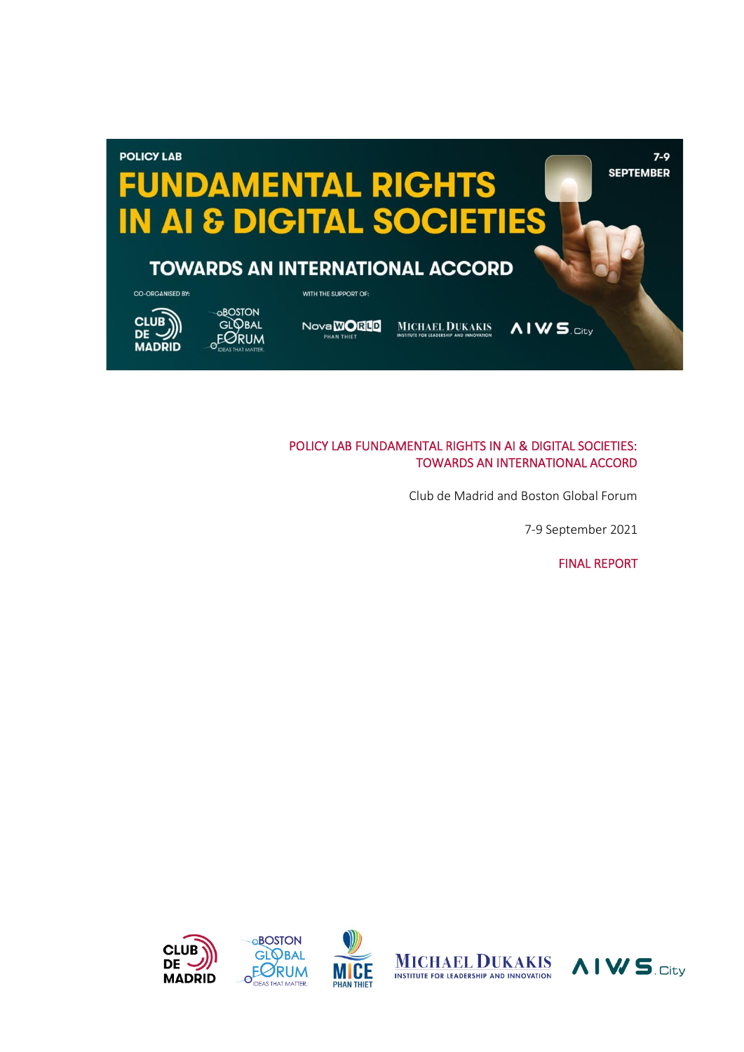

### POLICY LAB FUNDAMENTAL RIGHTS IN AI & DIGITAL SOCIETIES: TOWARDS AN INTERNATIONAL ACCORD

Club de Madrid and Boston Global Forum

7-9 September 2021

FINAL REPORT

**AIWS**CIty





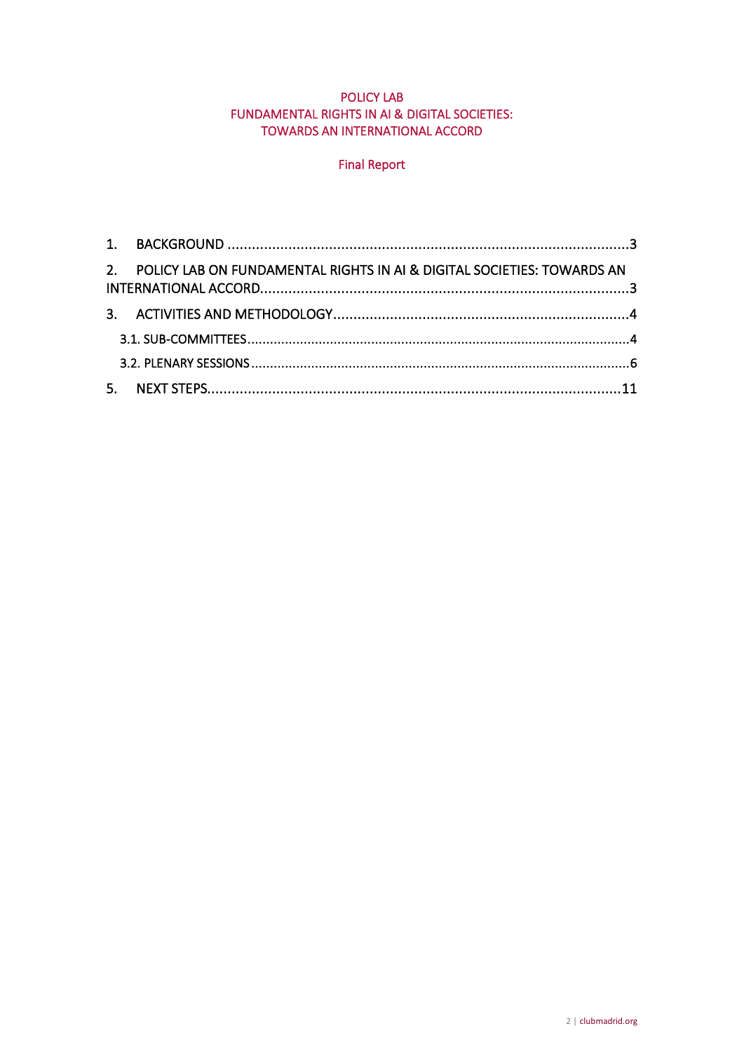## POLICY LAB FUNDAMENTAL RIGHTS IN AI & DIGITAL SOCIETIES: TOWARDS AN INTERNATIONAL ACCORD

# Final Report

| 2. POLICY LAB ON FUNDAMENTAL RIGHTS IN AL & DIGITAL SOCIETIES: TOWARDS AN |  |
|---------------------------------------------------------------------------|--|
|                                                                           |  |
|                                                                           |  |
|                                                                           |  |
|                                                                           |  |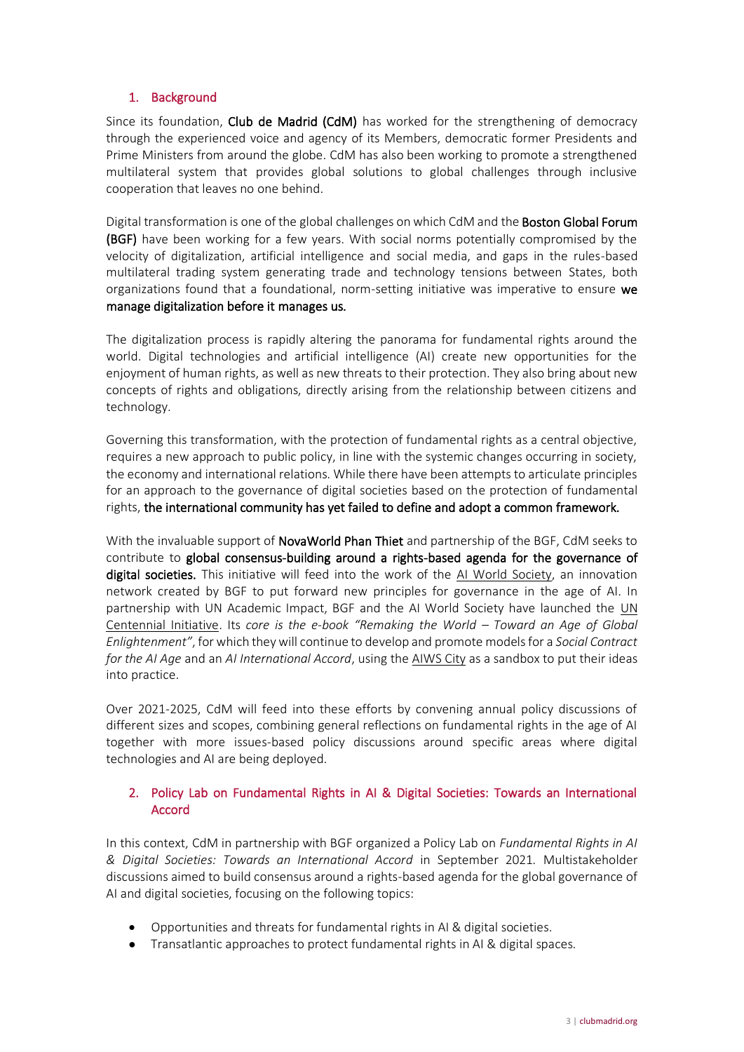## 1. Background

Since its foundation, Club de Madrid (CdM) has worked for the strengthening of democracy through the experienced voice and agency of its Members, democratic former Presidents and Prime Ministers from around the globe. CdM has also been working to promote a strengthened multilateral system that provides global solutions to global challenges through inclusive cooperation that leaves no one behind.

Digital transformation is one of the global challenges on which CdM and the **Boston Global Forum** (BGF) have been working for a few years. With social norms potentially compromised by the velocity of digitalization, artificial intelligence and social media, and gaps in the rules-based multilateral trading system generating trade and technology tensions between States, both organizations found that a foundational, norm-setting initiative was imperative to ensure we manage digitalization before it manages us.

The digitalization process is rapidly altering the panorama for fundamental rights around the world. Digital technologies and artificial intelligence (AI) create new opportunities for the enjoyment of human rights, as well as new threats to their protection. They also bring about new concepts of rights and obligations, directly arising from the relationship between citizens and technology.

Governing this transformation, with the protection of fundamental rights as a central objective, requires a new approach to public policy, in line with the systemic changes occurring in society, the economy and international relations. While there have been attempts to articulate principles for an approach to the governance of digital societies based on the protection of fundamental rights, the international community has yet failed to define and adopt a common framework.

With the invaluable support of **NovaWorld Phan Thiet** and partnership of the BGF, CdM seeks to contribute to global consensus-building around a rights-based agenda for the governance of digital societies. This initiative will feed into the work of the [AI World Society,](https://aiws.net/) an innovation network created by BGF to put forward new principles for governance in the age of AI. In partnership with UN Academic Impact, BGF and the AI World Society have launched the [UN](https://un100.net/)  [Centennial Initiative.](https://un100.net/) Its *core is the e-book "Remaking the World – Toward an Age of Global Enlightenment"*, for which they will continue to develop and promote models for a *Social Contract for the AI Age* and an *AI International Accord*, using the [AIWS City](https://aiws.city/) as a sandbox to put their ideas into practice.

Over 2021-2025, CdM will feed into these efforts by convening annual policy discussions of different sizes and scopes, combining general reflections on fundamental rights in the age of AI together with more issues-based policy discussions around specific areas where digital technologies and AI are being deployed.

## 2. Policy Lab on Fundamental Rights in AI & Digital Societies: Towards an International Accord

In this context, CdM in partnership with BGF organized a Policy Lab on *Fundamental Rights in AI & Digital Societies: Towards an International Accord* in September 2021*.* Multistakeholder discussions aimed to build consensus around a rights-based agenda for the global governance of AI and digital societies, focusing on the following topics:

- Opportunities and threats for fundamental rights in AI & digital societies.
- Transatlantic approaches to protect fundamental rights in AI & digital spaces.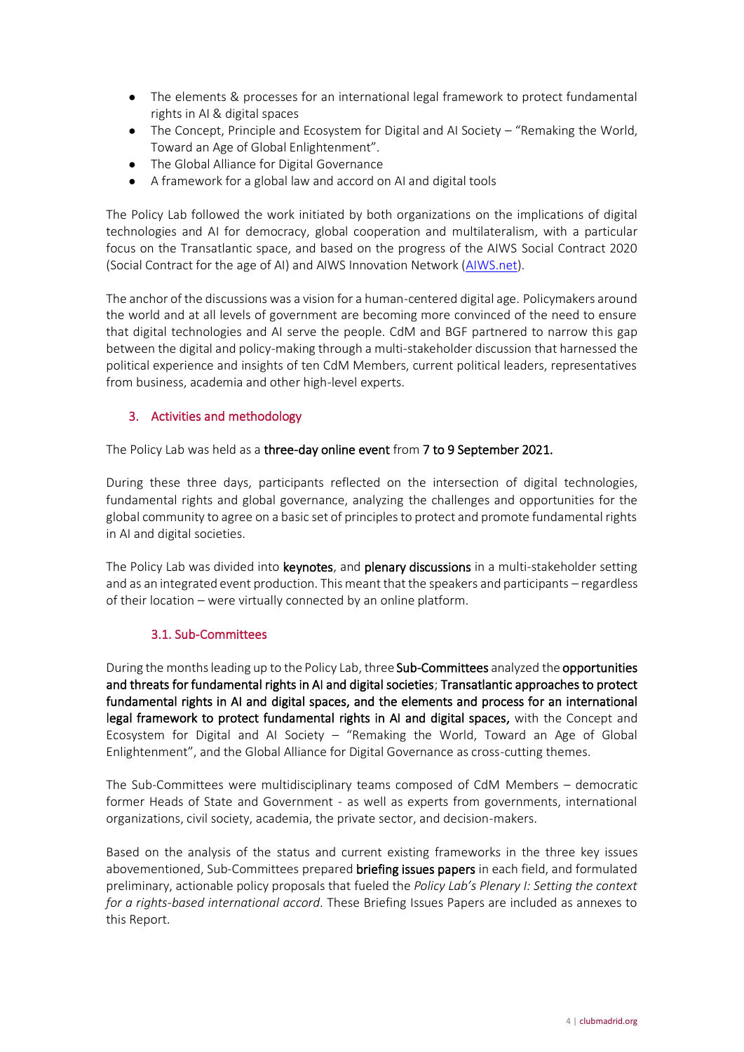- The elements & processes for an international legal framework to protect fundamental rights in AI & digital spaces
- The Concept, Principle and Ecosystem for Digital and AI Society "Remaking the World, Toward an Age of Global Enlightenment".
- The Global Alliance for Digital Governance
- A framework for a global law and accord on AI and digital tools

The Policy Lab followed the work initiated by both organizations on the implications of digital technologies and AI for democracy, global cooperation and multilateralism, with a particular focus on the Transatlantic space, and based on the progress of the AIWS Social Contract 2020 (Social Contract for the age of AI) and AIWS Innovation Network [\(AIWS.net\)](https://aiws.net/).

The anchor of the discussions was a vision for a human-centered digital age. Policymakers around the world and at all levels of government are becoming more convinced of the need to ensure that digital technologies and AI serve the people. CdM and BGF partnered to narrow this gap between the digital and policy-making through a multi-stakeholder discussion that harnessed the political experience and insights of ten CdM Members, current political leaders, representatives from business, academia and other high-level experts.

# 3. Activities and methodology

The Policy Lab was held as a three-day online event from 7 to 9 September 2021.

During these three days, participants reflected on the intersection of digital technologies, fundamental rights and global governance, analyzing the challenges and opportunities for the global community to agree on a basic set of principles to protect and promote fundamental rights in AI and digital societies.

The Policy Lab was divided into keynotes, and plenary discussions in a multi-stakeholder setting and as an integrated event production. This meant that the speakers and participants – regardless of their location – were virtually connected by an online platform.

## 3.1. Sub-Committees

During the months leading up to the Policy Lab, three Sub-Committees analyzed the opportunities and threats for fundamental rights in AI and digital societies; Transatlantic approaches to protect fundamental rights in AI and digital spaces, and the elements and process for an international legal framework to protect fundamental rights in AI and digital spaces, with the Concept and Ecosystem for Digital and AI Society – "Remaking the World, Toward an Age of Global Enlightenment", and the Global Alliance for Digital Governance as cross-cutting themes.

The Sub-Committees were multidisciplinary teams composed of CdM Members – democratic former Heads of State and Government - as well as experts from governments, international organizations, civil society, academia, the private sector, and decision-makers.

Based on the analysis of the status and current existing frameworks in the three key issues abovementioned, Sub-Committees prepared **briefing issues papers** in each field, and formulated preliminary, actionable policy proposals that fueled the *Policy Lab's Plenary I: Setting the context for a rights-based international accord*. These Briefing Issues Papers are included as annexes to this Report.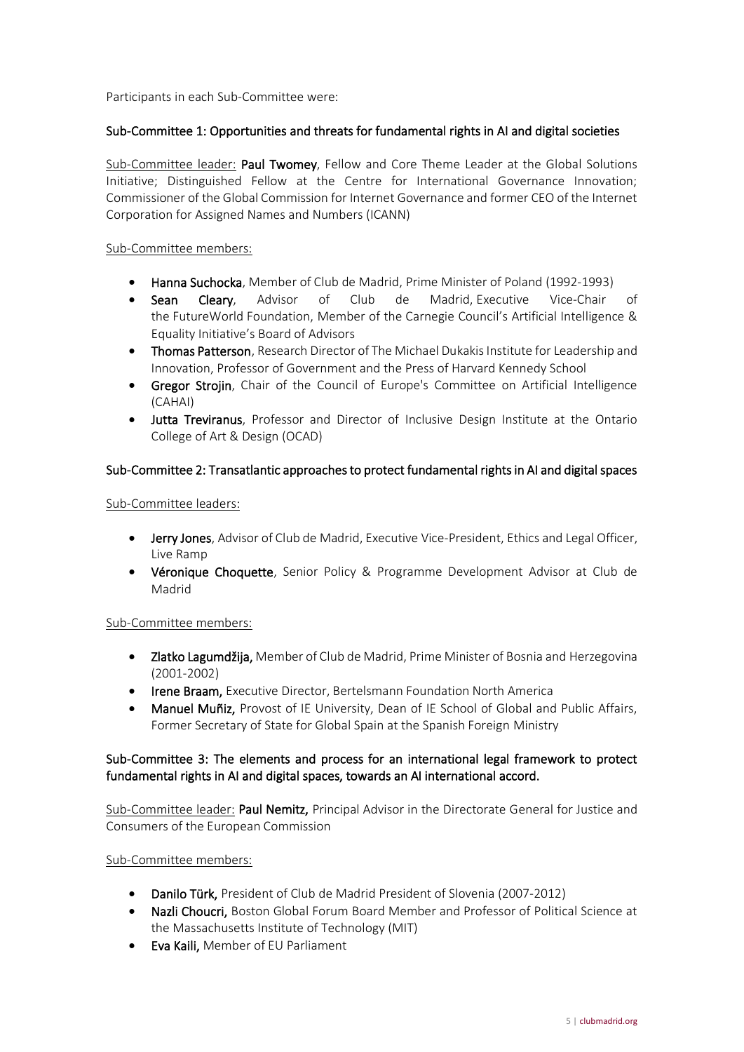Participants in each Sub-Committee were:

### Sub-Committee 1: Opportunities and threats for fundamental rights in AI and digital societies

Sub-Committee leader: Paul Twomey, Fellow and Core Theme Leader at the Global Solutions Initiative; Distinguished Fellow at the Centre for International Governance Innovation; Commissioner of the Global Commission for Internet Governance and former CEO of the Internet Corporation for Assigned Names and Numbers (ICANN)

### Sub-Committee members:

- Hanna Suchocka, Member of Club de Madrid, Prime Minister of Poland (1992-1993)
- Sean Cleary, Advisor of Club de Madrid, Executive Vice-Chair of the FutureWorld Foundation, Member of the Carnegie Council's Artificial Intelligence & Equality Initiative's Board of Advisors
- Thomas Patterson, Research Director of The Michael Dukakis Institute for Leadership and Innovation, Professor of Government and the Press of Harvard Kennedy School
- Gregor Strojin, Chair of the Council of Europe's Committee on Artificial Intelligence (CAHAI)
- Jutta Treviranus, Professor and Director of Inclusive Design Institute at the Ontario College of Art & Design (OCAD)

### Sub-Committee 2: Transatlantic approaches to protect fundamental rights in AI and digital spaces

### Sub-Committee leaders:

- Jerry Jones, Advisor of Club de Madrid, Executive Vice-President, Ethics and Legal Officer, Live Ramp
- Véronique Choquette, Senior Policy & Programme Development Advisor at Club de Madrid

### Sub-Committee members:

- Zlatko Lagumdžija, Member of Club de Madrid, Prime Minister of Bosnia and Herzegovina (2001-2002)
- Irene Braam, Executive Director, Bertelsmann Foundation North America
- Manuel Muñiz, Provost of IE University, Dean of IE School of Global and Public Affairs, Former Secretary of State for Global Spain at the Spanish Foreign Ministry

## Sub-Committee 3: The elements and process for an international legal framework to protect fundamental rights in AI and digital spaces, towards an AI international accord.

Sub-Committee leader: Paul Nemitz, Principal Advisor in the Directorate General for Justice and Consumers of the European Commission

### Sub-Committee members:

- Danilo Türk, President of Club de Madrid President of Slovenia (2007-2012)
- Nazli Choucri, Boston Global Forum Board Member and Professor of Political Science at the Massachusetts Institute of Technology (MIT)
- Eva Kaili, Member of EU Parliament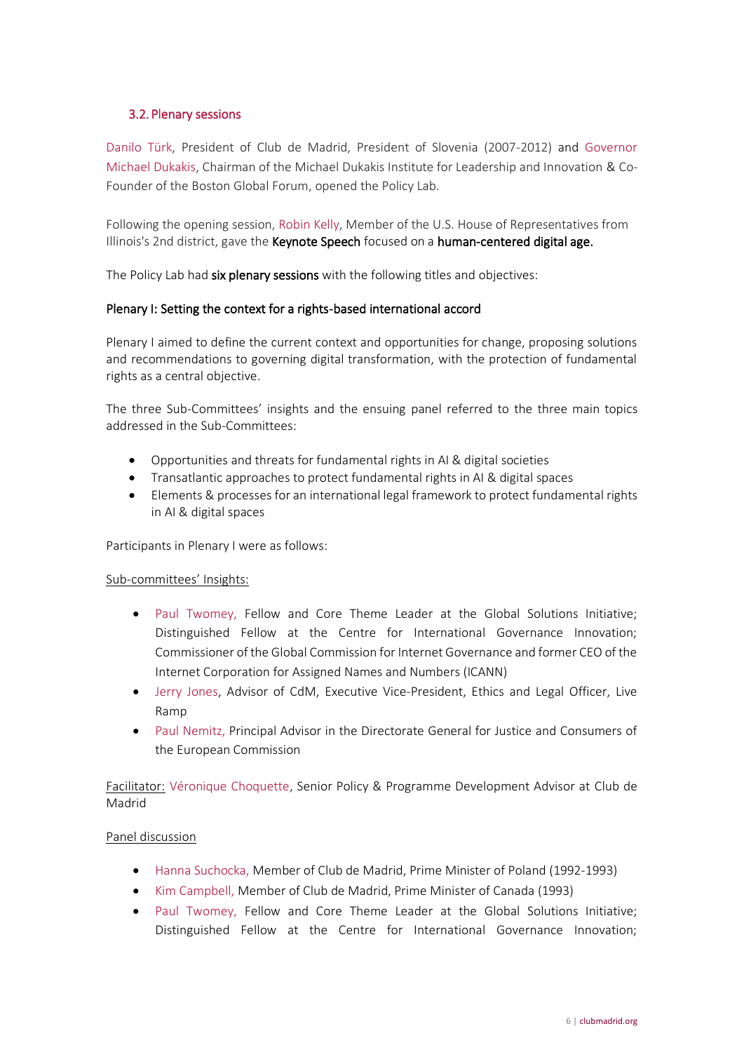## 3.2. Plenary sessions

Danilo Türk, President of Club de Madrid, President of Slovenia (2007-2012) and Governor Michael Dukakis, Chairman of the Michael Dukakis Institute for Leadership and Innovation & Co-Founder of the Boston Global Forum, opened the Policy Lab.

Following the opening session, Robin Kelly, Member of the U.S. House of Representatives from Illinois's 2nd district, gave the Keynote Speech focused on a human-centered digital age.

The Policy Lab had six plenary sessions with the following titles and objectives:

### Plenary I: Setting the context for a rights-based international accord

Plenary I aimed to define the current context and opportunities for change, proposing solutions and recommendations to governing digital transformation, with the protection of fundamental rights as a central objective.

The three Sub-Committees' insights and the ensuing panel referred to the three main topics addressed in the Sub-Committees:

- Opportunities and threats for fundamental rights in AI & digital societies
- Transatlantic approaches to protect fundamental rights in AI & digital spaces
- Elements & processes for an international legal framework to protect fundamental rights in AI & digital spaces

Participants in Plenary I were as follows:

### Sub-committees' Insights:

- Paul Twomey, Fellow and Core Theme Leader at the Global Solutions Initiative; Distinguished Fellow at the Centre for International Governance Innovation; Commissioner of the Global Commission for Internet Governance and former CEO of the Internet Corporation for Assigned Names and Numbers (ICANN)
- Jerry Jones, Advisor of CdM, Executive Vice-President, Ethics and Legal Officer, Live Ramp
- Paul Nemitz, Principal Advisor in the Directorate General for Justice and Consumers of the European Commission

Facilitator: Véronique Choquette, Senior Policy & Programme Development Advisor at Club de Madrid

### Panel discussion

- Hanna Suchocka, Member of Club de Madrid, Prime Minister of Poland (1992-1993)
- Kim Campbell, Member of Club de Madrid, Prime Minister of Canada (1993)
- Paul Twomey, Fellow and Core Theme Leader at the Global Solutions Initiative: Distinguished Fellow at the Centre for International Governance Innovation;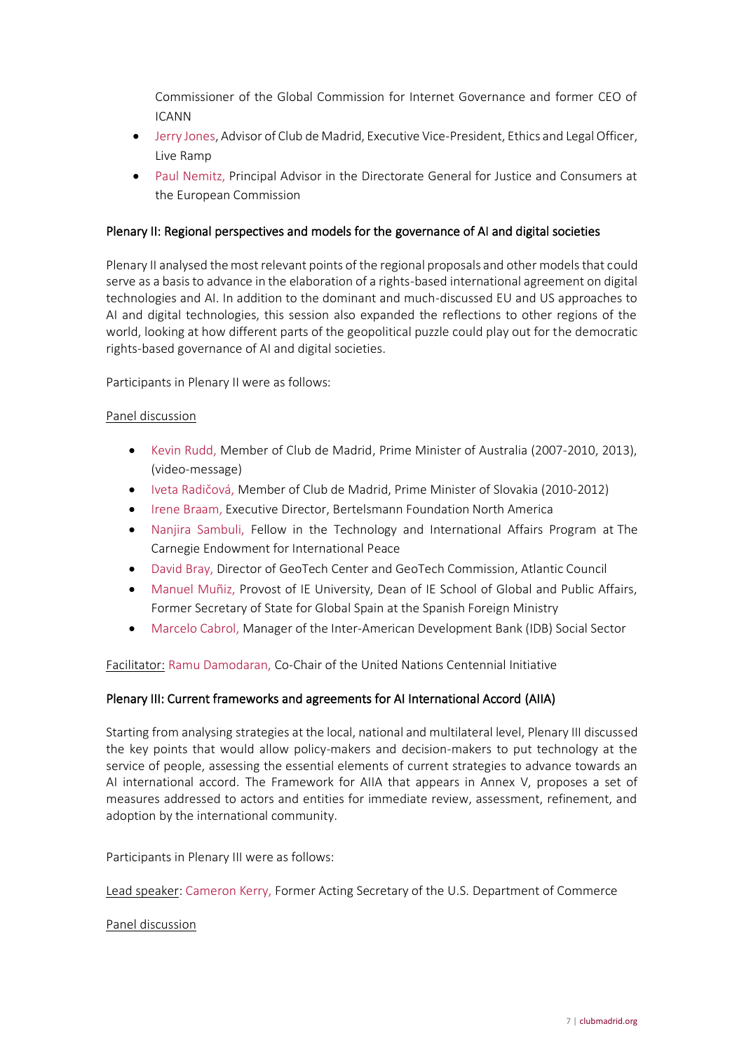Commissioner of the Global Commission for Internet Governance and former CEO of ICANN

- Jerry Jones, Advisor of Club de Madrid, Executive Vice-President, Ethics and Legal Officer, Live Ramp
- Paul Nemitz, Principal Advisor in the Directorate General for Justice and Consumers at the European Commission

### Plenary II: Regional perspectives and models for the governance of AI and digital societies

Plenary II analysed the most relevant points of the regional proposals and other models that could serve as a basis to advance in the elaboration of a rights-based international agreement on digital technologies and AI. In addition to the dominant and much-discussed EU and US approaches to AI and digital technologies, this session also expanded the reflections to other regions of the world, looking at how different parts of the geopolitical puzzle could play out for the democratic rights-based governance of AI and digital societies.

Participants in Plenary II were as follows:

#### Panel discussion

- Kevin Rudd, Member of Club de Madrid, Prime Minister of Australia (2007-2010, 2013), (video-message)
- Iveta Radičová, Member of Club de Madrid, Prime Minister of Slovakia (2010-2012)
- Irene Braam, Executive Director, Bertelsmann Foundation North America
- Nanjira Sambuli, Fellow in the Technology and International Affairs Program at The Carnegie Endowment for International Peace
- David Bray, Director of GeoTech Center and GeoTech Commission, Atlantic Council
- Manuel Muñiz, Provost of IE University, Dean of IE School of Global and Public Affairs, Former Secretary of State for Global Spain at the Spanish Foreign Ministry
- Marcelo Cabrol, Manager of the Inter-American Development Bank (IDB) Social Sector

Facilitator: Ramu Damodaran, Co-Chair of the United Nations Centennial Initiative

### Plenary III: Current frameworks and agreements for AI International Accord (AIIA)

Starting from analysing strategies at the local, national and multilateral level, Plenary III discussed the key points that would allow policy-makers and decision-makers to put technology at the service of people, assessing the essential elements of current strategies to advance towards an AI international accord. The Framework for AIIA that appears in Annex V, proposes a set of measures addressed to actors and entities for immediate review, assessment, refinement, and adoption by the international community.

Participants in Plenary III were as follows:

Lead speaker: Cameron Kerry, Former Acting Secretary of the U.S. Department of Commerce

#### Panel discussion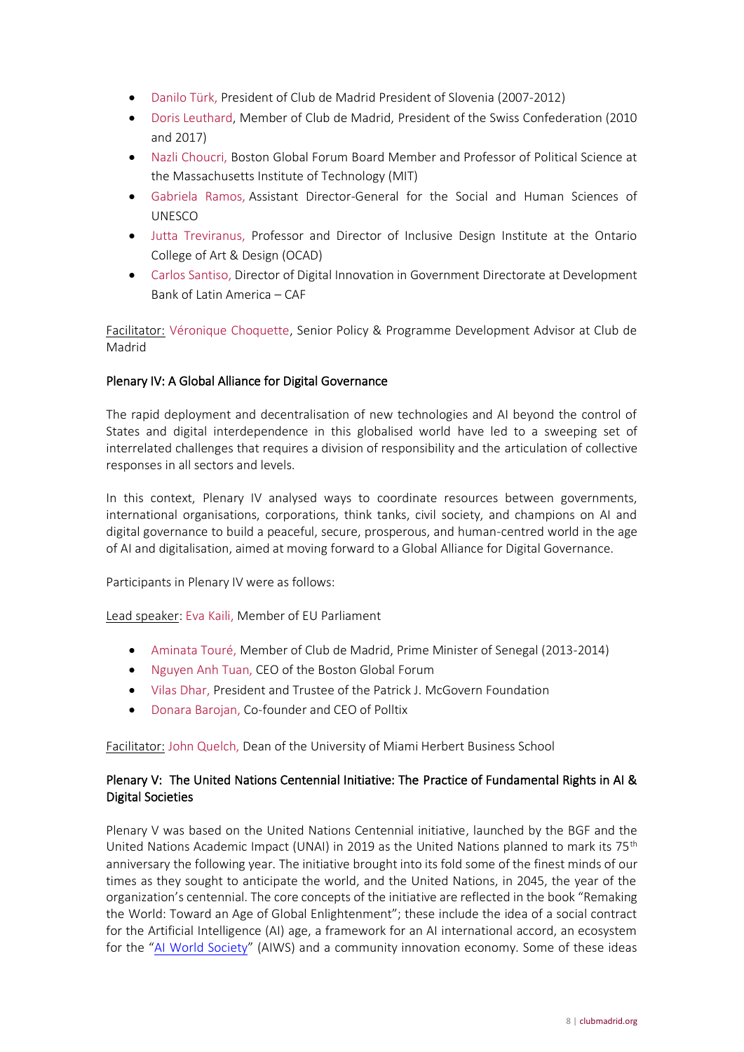- Danilo Türk, President of Club de Madrid President of Slovenia (2007-2012)
- Doris Leuthard, Member of Club de Madrid, President of the Swiss Confederation (2010 and 2017)
- Nazli Choucri, Boston Global Forum Board Member and Professor of Political Science at the Massachusetts Institute of Technology (MIT)
- Gabriela Ramos, Assistant Director-General for the Social and Human Sciences of UNESCO
- Jutta Treviranus, Professor and Director of Inclusive Design Institute at the Ontario College of Art & Design (OCAD)
- Carlos Santiso, Director of Digital Innovation in Government Directorate at Development Bank of Latin America – CAF

Facilitator: Véronique Choquette, Senior Policy & Programme Development Advisor at Club de Madrid

## Plenary IV: A Global Alliance for Digital Governance

The rapid deployment and decentralisation of new technologies and AI beyond the control of States and digital interdependence in this globalised world have led to a sweeping set of interrelated challenges that requires a division of responsibility and the articulation of collective responses in all sectors and levels.

In this context, Plenary IV analysed ways to coordinate resources between governments, international organisations, corporations, think tanks, civil society, and champions on AI and digital governance to build a peaceful, secure, prosperous, and human-centred world in the age of AI and digitalisation, aimed at moving forward to a Global Alliance for Digital Governance.

Participants in Plenary IV were as follows:

Lead speaker: Eva Kaili, Member of EU Parliament

- Aminata Touré, Member of Club de Madrid, Prime Minister of Senegal (2013-2014)
- Nguyen Anh Tuan, CEO of the Boston Global Forum
- Vilas Dhar, President and Trustee of the Patrick J. McGovern Foundation
- Donara Barojan, Co-founder and CEO of Polltix

Facilitator: John Quelch, Dean of the University of Miami Herbert Business School

## Plenary V: The United Nations Centennial Initiative: The Practice of Fundamental Rights in AI & Digital Societies

Plenary V was based on the United Nations Centennial initiative, launched by the BGF and the United Nations Academic Impact (UNAI) in 2019 as the United Nations planned to mark its 75<sup>th</sup> anniversary the following year. The initiative brought into its fold some of the finest minds of our times as they sought to anticipate the world, and the United Nations, in 2045, the year of the organization's centennial. The core concepts of the initiative are reflected in the book "Remaking the World: Toward an Age of Global Enlightenment"; these include the idea of a social contract for the Artificial Intelligence (AI) age, a framework for an AI international accord, an ecosystem for the "[AI World Society](https://aiws.net/)" (AIWS) and a community innovation economy. Some of these ideas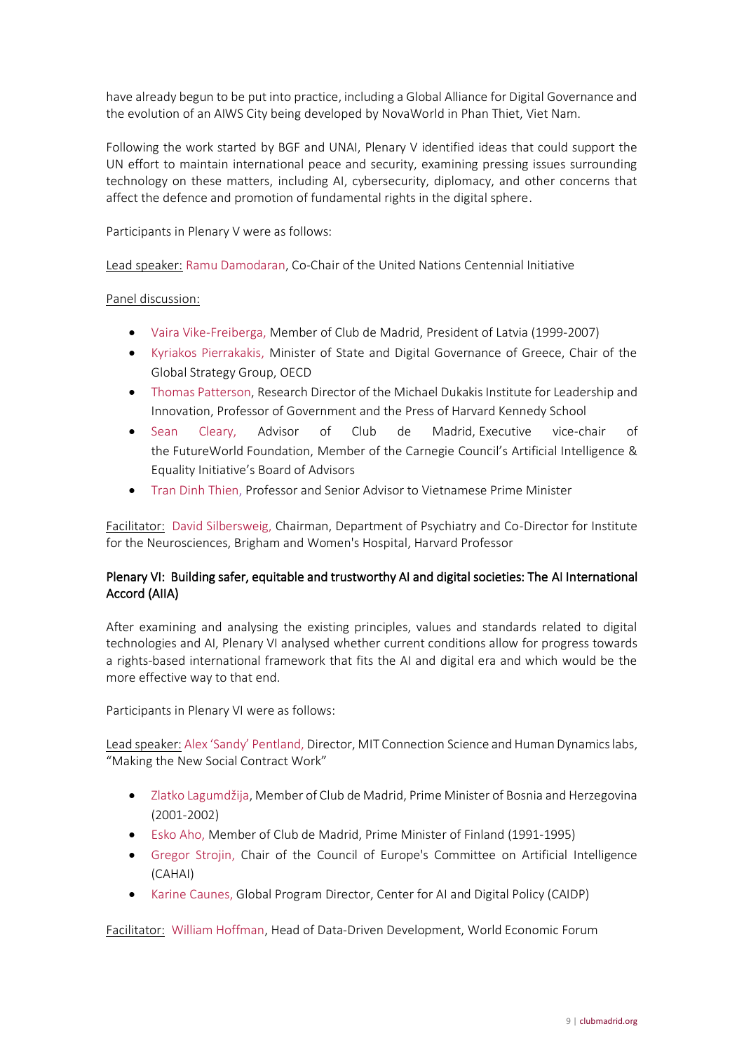have already begun to be put into practice, including a Global Alliance for Digital Governance and the evolution of an AIWS City being developed by NovaWorld in Phan Thiet, Viet Nam.

Following the work started by BGF and UNAI, Plenary V identified ideas that could support the UN effort to maintain international peace and security, examining pressing issues surrounding technology on these matters, including AI, cybersecurity, diplomacy, and other concerns that affect the defence and promotion of fundamental rights in the digital sphere.

Participants in Plenary V were as follows:

Lead speaker: Ramu Damodaran, Co-Chair of the United Nations Centennial Initiative

### Panel discussion:

- Vaira Vike-Freiberga, Member of Club de Madrid, President of Latvia (1999-2007)
- Kyriakos Pierrakakis, Minister of State and Digital Governance of Greece, Chair of the Global Strategy Group, OECD
- Thomas Patterson, Research Director of the Michael Dukakis Institute for Leadership and Innovation, Professor of Government and the Press of Harvard Kennedy School
- Sean Cleary, Advisor of Club de Madrid, Executive vice-chair of the FutureWorld Foundation, Member of the Carnegie Council's Artificial Intelligence & Equality Initiative's Board of Advisors
- Tran Dinh Thien, Professor and Senior Advisor to Vietnamese Prime Minister

Facilitator: David Silbersweig, Chairman, Department of Psychiatry and Co-Director for Institute for the Neurosciences, Brigham and Women's Hospital, Harvard Professor

## Plenary VI: Building safer, equitable and trustworthy AI and digital societies: The AI International Accord (AIIA)

After examining and analysing the existing principles, values and standards related to digital technologies and AI, Plenary VI analysed whether current conditions allow for progress towards a rights-based international framework that fits the AI and digital era and which would be the more effective way to that end.

Participants in Plenary VI were as follows:

Lead speaker: Alex 'Sandy' Pentland, Director, MIT Connection Science and Human Dynamics labs, "Making the New Social Contract Work"

- Zlatko Lagumdžija, Member of Club de Madrid, Prime Minister of Bosnia and Herzegovina (2001-2002)
- Esko Aho, Member of Club de Madrid, Prime Minister of Finland (1991-1995)
- Gregor Strojin, Chair of the Council of Europe's Committee on Artificial Intelligence (CAHAI)
- Karine Caunes, Global Program Director, Center for AI and Digital Policy (CAIDP)

Facilitator: William Hoffman, Head of Data-Driven Development, World Economic Forum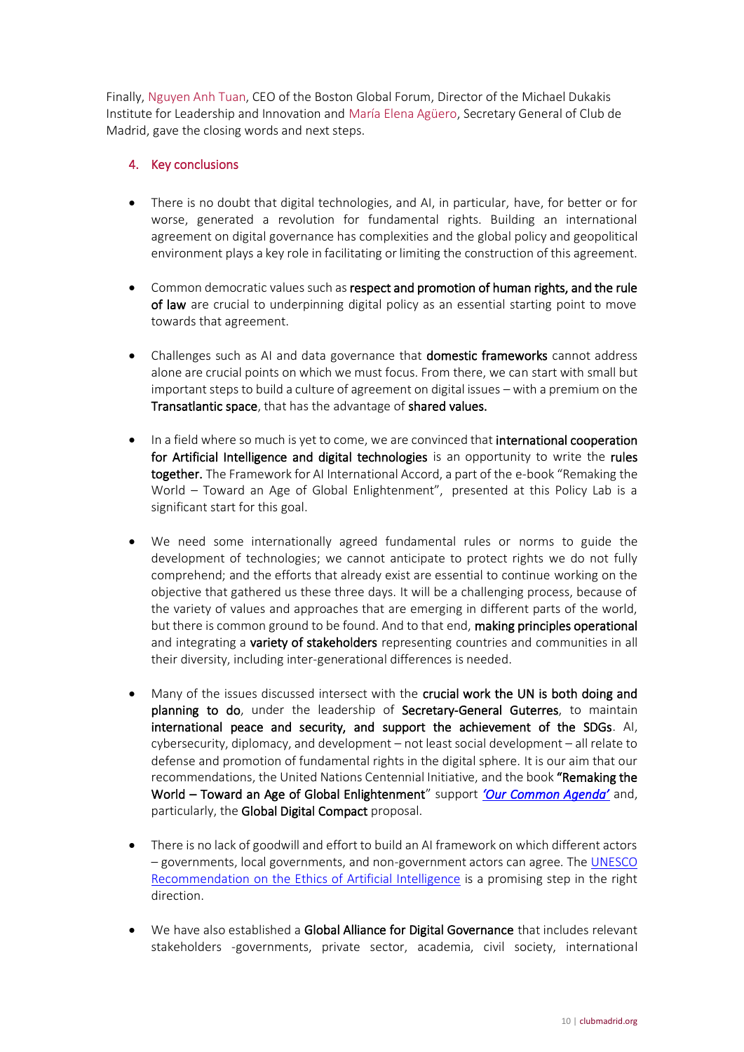Finally, Nguyen Anh Tuan, CEO of the Boston Global Forum, Director of the Michael Dukakis Institute for Leadership and Innovation and María Elena Agüero, Secretary General of Club de Madrid, gave the closing words and next steps.

# 4. Key conclusions

- There is no doubt that digital technologies, and AI, in particular, have, for better or for worse, generated a revolution for fundamental rights. Building an international agreement on digital governance has complexities and the global policy and geopolitical environment plays a key role in facilitating or limiting the construction of this agreement.
- Common democratic values such as respect and promotion of human rights, and the rule of law are crucial to underpinning digital policy as an essential starting point to move towards that agreement.
- Challenges such as AI and data governance that domestic frameworks cannot address alone are crucial points on which we must focus. From there, we can start with small but important steps to build a culture of agreement on digital issues – with a premium on the Transatlantic space, that has the advantage of shared values.
- In a field where so much is yet to come, we are convinced that **international cooperation** for Artificial Intelligence and digital technologies is an opportunity to write the rules together. The Framework for AI International Accord, a part of the e-book "Remaking the World – Toward an Age of Global Enlightenment", presented at this Policy Lab is a significant start for this goal.
- We need some internationally agreed fundamental rules or norms to guide the development of technologies; we cannot anticipate to protect rights we do not fully comprehend; and the efforts that already exist are essential to continue working on the objective that gathered us these three days. It will be a challenging process, because of the variety of values and approaches that are emerging in different parts of the world, but there is common ground to be found. And to that end, making principles operational and integrating a variety of stakeholders representing countries and communities in all their diversity, including inter-generational differences is needed.
- Many of the issues discussed intersect with the crucial work the UN is both doing and planning to do, under the leadership of Secretary-General Guterres, to maintain international peace and security, and support the achievement of the SDGs. AI, cybersecurity, diplomacy, and development – not least social development – all relate to defense and promotion of fundamental rights in the digital sphere. It is our aim that our recommendations, the United Nations Centennial Initiative, and the book "Remaking the World – Toward an Age of Global Enlightenment" support *['Our Common Agenda'](https://www.un.org/en/content/common-agenda-report/)* and, particularly, the Global Digital Compact proposal.
- There is no lack of goodwill and effort to build an AI framework on which different actors – governments, local governments, and non-government actors can agree. The [UNESCO](https://en.unesco.org/artificial-intelligence/ethics)  Recommendation [on the Ethics of Artificial Intelligence](https://en.unesco.org/artificial-intelligence/ethics) is a promising step in the right direction.
- We have also established a Global Alliance for Digital Governance that includes relevant stakeholders -governments, private sector, academia, civil society, international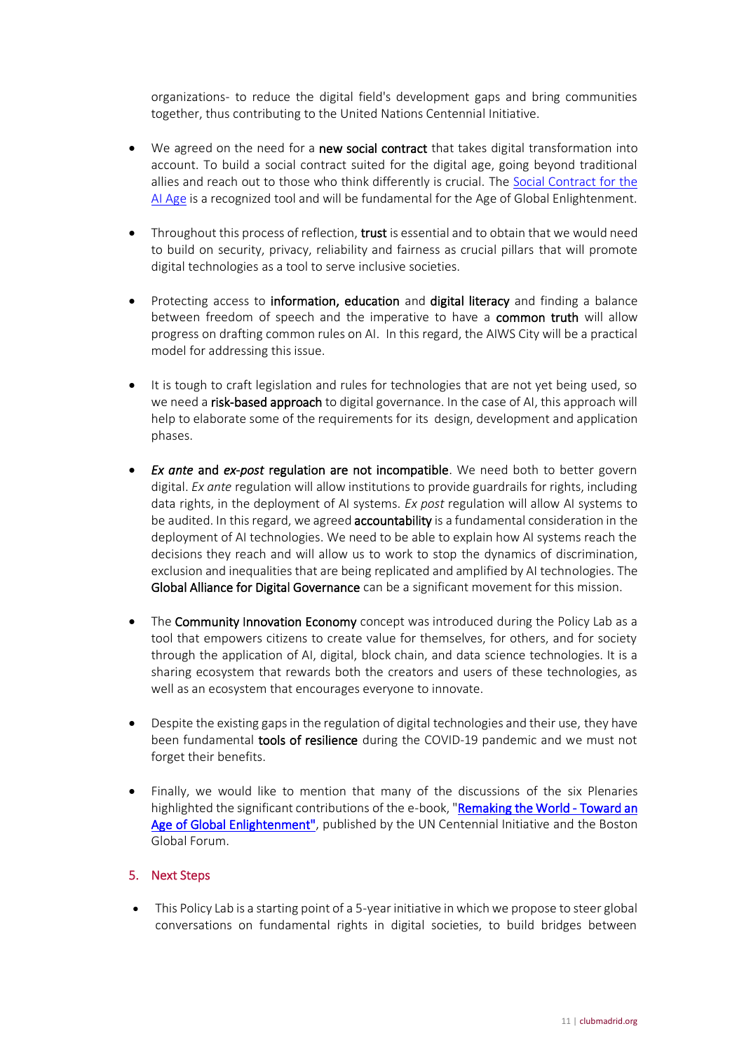organizations- to reduce the digital field's development gaps and bring communities together, thus contributing to the United Nations Centennial Initiative.

- We agreed on the need for a new social contract that takes digital transformation into account. To build a social contract suited for the digital age, going beyond traditional allies and reach out to those who think differently is crucial. The [Social Contract for the](https://bostonglobalforum.org/highlights/social-contract-for-the-ai-age/)  [AI Age](https://bostonglobalforum.org/highlights/social-contract-for-the-ai-age/) is a recognized tool and will be fundamental for the Age of Global Enlightenment.
- Throughout this process of reflection, trust is essential and to obtain that we would need to build on security, privacy, reliability and fairness as crucial pillars that will promote digital technologies as a tool to serve inclusive societies.
- Protecting access to **information, education** and **digital literacy** and finding a balance between freedom of speech and the imperative to have a **common truth** will allow progress on drafting common rules on AI. In this regard, the AIWS City will be a practical model for addressing this issue.
- It is tough to craft legislation and rules for technologies that are not yet being used, so we need a risk-based approach to digital governance. In the case of AI, this approach will help to elaborate some of the requirements for its design, development and application phases.
- *Ex ante* and *ex-post* regulation are not incompatible. We need both to better govern digital. *Ex ante* regulation will allow institutions to provide guardrails for rights, including data rights, in the deployment of AI systems. *Ex post* regulation will allow AI systems to be audited. In this regard, we agreed **accountability** is a fundamental consideration in the deployment of AI technologies. We need to be able to explain how AI systems reach the decisions they reach and will allow us to work to stop the dynamics of discrimination, exclusion and inequalities that are being replicated and amplified by AI technologies. The Global Alliance for Digital Governance can be a significant movement for this mission.
- The Community Innovation Economy concept was introduced during the Policy Lab as a tool that empowers citizens to create value for themselves, for others, and for society through the application of AI, digital, block chain, and data science technologies. It is a sharing ecosystem that rewards both the creators and users of these technologies, as well as an ecosystem that encourages everyone to innovate.
- Despite the existing gaps in the regulation of digital technologies and their use, they have been fundamental tools of resilience during the COVID-19 pandemic and we must not forget their benefits.
- Finally, we would like to mention that many of the discussions of the six Plenaries highlighted the significant contributions of the e-book, "Remaking the World - Toward an [Age of Global Enlightenment",](https://bostonglobalforum.org/publications/remaking-the-world-the-age-of-global-enlightenment-2/) published by the UN Centennial Initiative and the Boston Global Forum.

## 5. Next Steps

• This Policy Lab is a starting point of a 5-year initiative in which we propose to steer global conversations on fundamental rights in digital societies, to build bridges between